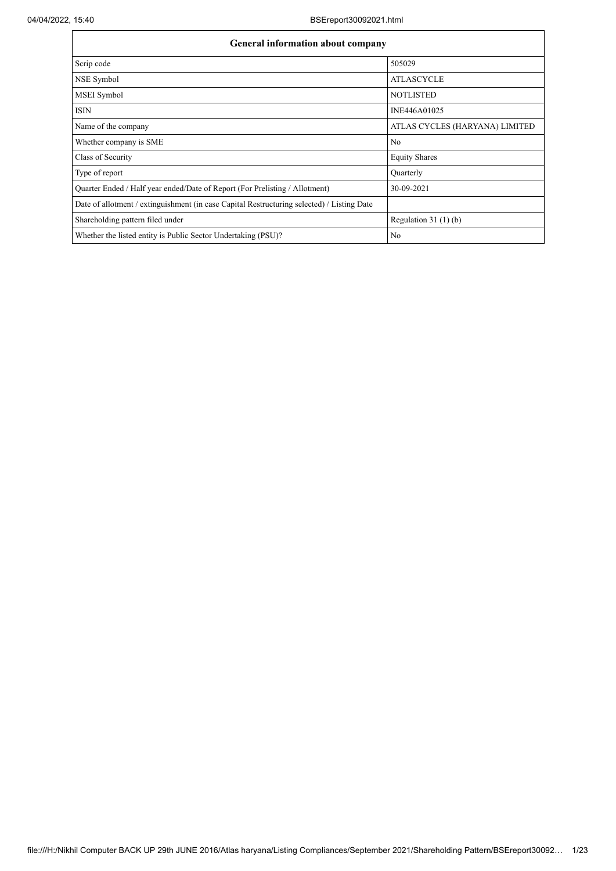| <b>General information about company</b>                                                   |                                |
|--------------------------------------------------------------------------------------------|--------------------------------|
| Scrip code                                                                                 | 505029                         |
| NSE Symbol                                                                                 | <b>ATLASCYCLE</b>              |
| MSEI Symbol                                                                                | <b>NOTLISTED</b>               |
| <b>ISIN</b>                                                                                | INE446A01025                   |
| Name of the company                                                                        | ATLAS CYCLES (HARYANA) LIMITED |
| Whether company is SME                                                                     | No                             |
| Class of Security                                                                          | <b>Equity Shares</b>           |
| Type of report                                                                             | Quarterly                      |
| Quarter Ended / Half year ended/Date of Report (For Prelisting / Allotment)                | 30-09-2021                     |
| Date of allotment / extinguishment (in case Capital Restructuring selected) / Listing Date |                                |
| Shareholding pattern filed under                                                           | Regulation $31(1)(b)$          |
| Whether the listed entity is Public Sector Undertaking (PSU)?                              | No                             |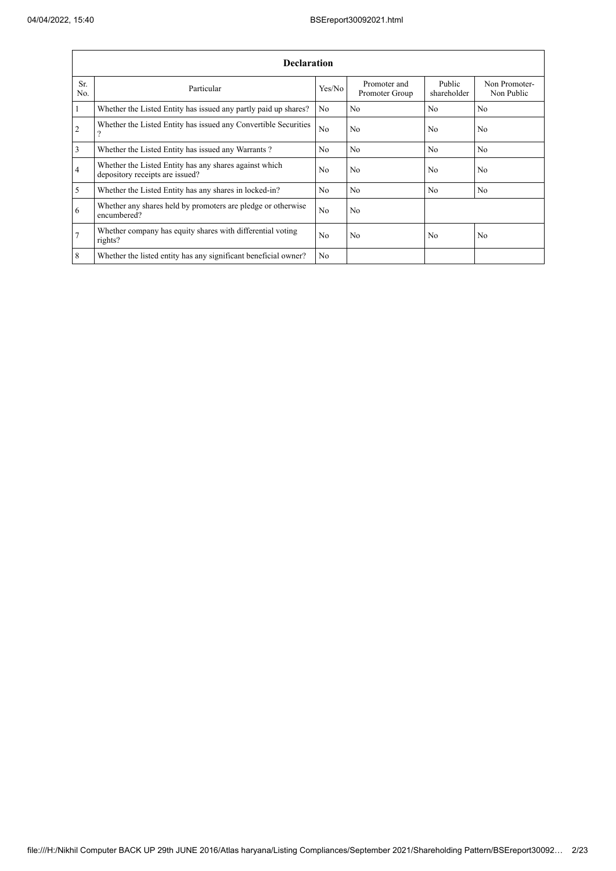|                | <b>Declaration</b>                                                                        |                |                                |                       |                             |  |  |  |  |  |  |  |  |
|----------------|-------------------------------------------------------------------------------------------|----------------|--------------------------------|-----------------------|-----------------------------|--|--|--|--|--|--|--|--|
| Sr.<br>No.     | Particular                                                                                | Yes/No         | Promoter and<br>Promoter Group | Public<br>shareholder | Non Promoter-<br>Non Public |  |  |  |  |  |  |  |  |
| $\mathbf{1}$   | Whether the Listed Entity has issued any partly paid up shares?                           | No             | No                             | N <sub>0</sub>        | N <sub>0</sub>              |  |  |  |  |  |  |  |  |
| $\overline{2}$ | Whether the Listed Entity has issued any Convertible Securities<br>$\mathcal{P}$          | No             | N <sub>0</sub>                 | N <sub>0</sub>        | N <sub>0</sub>              |  |  |  |  |  |  |  |  |
| 3              | Whether the Listed Entity has issued any Warrants?                                        | N <sub>0</sub> | N <sub>o</sub>                 | N <sub>o</sub>        | N <sub>0</sub>              |  |  |  |  |  |  |  |  |
| $\overline{4}$ | Whether the Listed Entity has any shares against which<br>depository receipts are issued? | N <sub>o</sub> | No                             | N <sub>o</sub>        | No                          |  |  |  |  |  |  |  |  |
| 5              | Whether the Listed Entity has any shares in locked-in?                                    | N <sub>o</sub> | No                             | N <sub>o</sub>        | N <sub>o</sub>              |  |  |  |  |  |  |  |  |
| 6              | Whether any shares held by promoters are pledge or otherwise<br>encumbered?               | N <sub>o</sub> | No                             |                       |                             |  |  |  |  |  |  |  |  |
| $\overline{7}$ | Whether company has equity shares with differential voting<br>rights?                     | N <sub>o</sub> | No                             | N <sub>o</sub>        | N <sub>o</sub>              |  |  |  |  |  |  |  |  |
| 8              | Whether the listed entity has any significant beneficial owner?                           | N <sub>0</sub> |                                |                       |                             |  |  |  |  |  |  |  |  |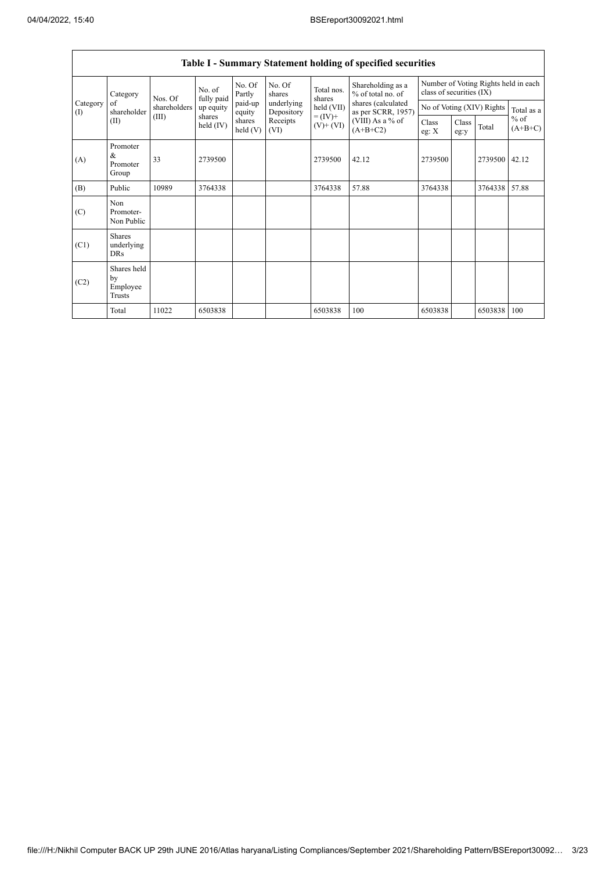$\Gamma$ 

|                                           |                                           |                       |                      |                   |                              |                                  | Table I - Summary Statement holding of specified securities |               |                                                                  |                           |            |  |
|-------------------------------------------|-------------------------------------------|-----------------------|----------------------|-------------------|------------------------------|----------------------------------|-------------------------------------------------------------|---------------|------------------------------------------------------------------|---------------------------|------------|--|
| Category                                  |                                           | Nos. Of               | No. of<br>fully paid | No. Of<br>Partly  | No. Of<br>shares             | Total nos.<br>shares             | Shareholding as a<br>% of total no. of                      |               | Number of Voting Rights held in each<br>class of securities (IX) |                           |            |  |
| Category<br>shareholder<br>$($ I)<br>(II) | of                                        | shareholders          | up equity            | paid-up<br>equity | underlying<br>Depository     | $held$ (VII)                     | shares (calculated<br>as per SCRR, 1957)                    |               |                                                                  | No of Voting (XIV) Rights | Total as a |  |
|                                           | (III)                                     | shares<br>held $(IV)$ | shares<br>held $(V)$ | Receipts<br>(VI)  | $= (IV) +$<br>$(V)$ + $(VI)$ | $(VIII)$ As a % of<br>$(A+B+C2)$ | Class<br>eg: $X$                                            | Class<br>eg:y | Total                                                            | $%$ of<br>$(A+B+C)$       |            |  |
| (A)                                       | Promoter<br>&<br>Promoter<br>Group        | 33                    | 2739500              |                   |                              | 2739500                          | 42.12                                                       | 2739500       |                                                                  | 2739500                   | 42.12      |  |
| (B)                                       | Public                                    | 10989                 | 3764338              |                   |                              | 3764338                          | 57.88                                                       | 3764338       |                                                                  | 3764338                   | 57.88      |  |
| (C)                                       | Non<br>Promoter-<br>Non Public            |                       |                      |                   |                              |                                  |                                                             |               |                                                                  |                           |            |  |
| (C1)                                      | <b>Shares</b><br>underlying<br><b>DRs</b> |                       |                      |                   |                              |                                  |                                                             |               |                                                                  |                           |            |  |
| (C2)                                      | Shares held<br>by<br>Employee<br>Trusts   |                       |                      |                   |                              |                                  |                                                             |               |                                                                  |                           |            |  |
|                                           | Total                                     | 11022                 | 6503838              |                   |                              | 6503838                          | 100                                                         | 6503838       |                                                                  | 6503838                   | 100        |  |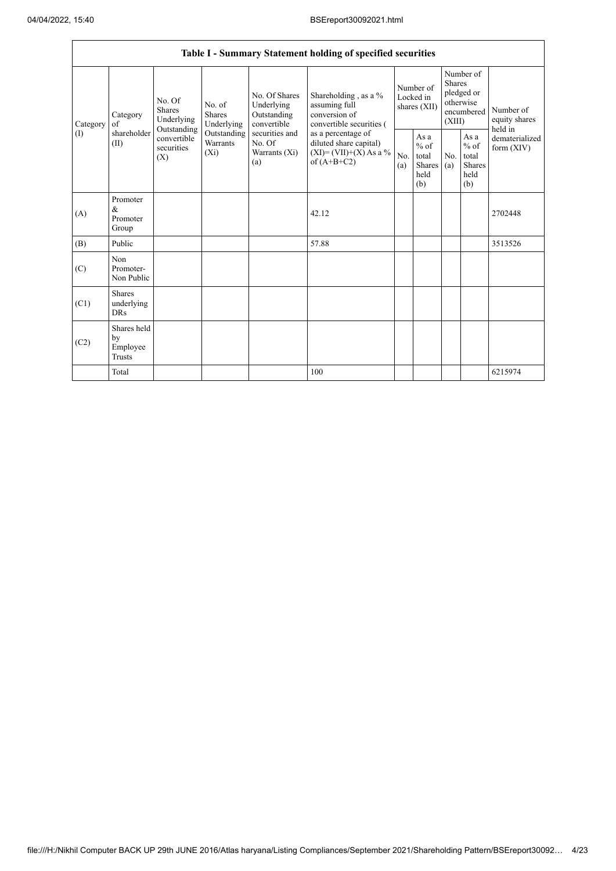|                 |                                                |                                                            |                                |                                                                                                                  | Table I - Summary Statement holding of specified securities                                |                                        |                                                  |                                                                               |                                                         |                                           |
|-----------------|------------------------------------------------|------------------------------------------------------------|--------------------------------|------------------------------------------------------------------------------------------------------------------|--------------------------------------------------------------------------------------------|----------------------------------------|--------------------------------------------------|-------------------------------------------------------------------------------|---------------------------------------------------------|-------------------------------------------|
| Category<br>(1) | Category<br>of<br>shareholder<br>(II)          | No. Of<br><b>Shares</b><br>Underlying                      | No. of<br>Shares<br>Underlying | No. Of Shares<br>Underlying<br>Outstanding<br>convertible<br>securities and<br>No. Of<br>Warrants $(X_i)$<br>(a) | Shareholding, as a %<br>assuming full<br>conversion of<br>convertible securities (         | Number of<br>Locked in<br>shares (XII) |                                                  | Number of<br><b>Shares</b><br>pledged or<br>otherwise<br>encumbered<br>(XIII) |                                                         | Number of<br>equity shares                |
|                 |                                                | Outstanding<br>convertible<br>securities<br>$(X_i)$<br>(X) | Outstanding<br>Warrants        |                                                                                                                  | as a percentage of<br>diluted share capital)<br>$(XI) = (VII)+(X) As a %$<br>of $(A+B+C2)$ | No.<br>(a)                             | As a<br>$%$ of<br>total<br>Shares<br>held<br>(b) | No.<br>(a)                                                                    | As a<br>$%$ of<br>total<br><b>Shares</b><br>held<br>(b) | held in<br>dematerialized<br>form $(XIV)$ |
| (A)             | Promoter<br>$\&$<br>Promoter<br>Group          |                                                            |                                |                                                                                                                  | 42.12                                                                                      |                                        |                                                  |                                                                               |                                                         | 2702448                                   |
| (B)             | Public                                         |                                                            |                                |                                                                                                                  | 57.88                                                                                      |                                        |                                                  |                                                                               |                                                         | 3513526                                   |
| (C)             | Non<br>Promoter-<br>Non Public                 |                                                            |                                |                                                                                                                  |                                                                                            |                                        |                                                  |                                                                               |                                                         |                                           |
| (C1)            | Shares<br>underlying<br><b>DRs</b>             |                                                            |                                |                                                                                                                  |                                                                                            |                                        |                                                  |                                                                               |                                                         |                                           |
| (C2)            | Shares held<br>by<br>Employee<br><b>Trusts</b> |                                                            |                                |                                                                                                                  |                                                                                            |                                        |                                                  |                                                                               |                                                         |                                           |
|                 | Total                                          |                                                            |                                |                                                                                                                  | 100                                                                                        |                                        |                                                  |                                                                               |                                                         | 6215974                                   |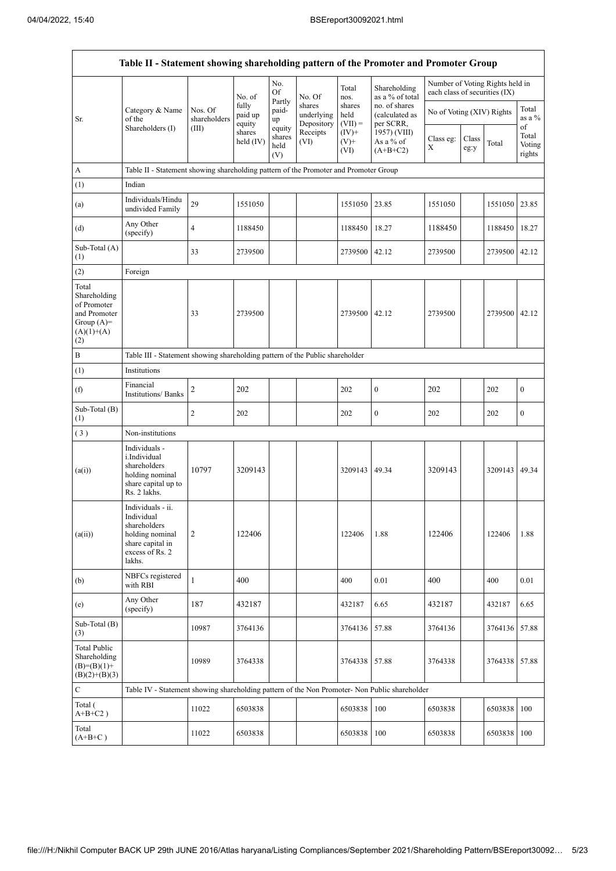| Table II - Statement showing shareholding pattern of the Promoter and Promoter Group        |                                                                                                                     |                         |                            |                                 |                                    |                             |                                              |                               |               |                                 |                           |  |
|---------------------------------------------------------------------------------------------|---------------------------------------------------------------------------------------------------------------------|-------------------------|----------------------------|---------------------------------|------------------------------------|-----------------------------|----------------------------------------------|-------------------------------|---------------|---------------------------------|---------------------------|--|
|                                                                                             |                                                                                                                     |                         | No. of                     | No.<br>Of                       | No. Of                             | Total<br>nos.               | Shareholding<br>as a % of total              | each class of securities (IX) |               | Number of Voting Rights held in |                           |  |
| Sr.                                                                                         | Category & Name<br>of the<br>Shareholders (I)                                                                       | Nos. Of<br>shareholders | fully<br>paid up<br>equity | Partly<br>paid-<br>up<br>equity | shares<br>underlying<br>Depository | shares<br>held<br>$(VII) =$ | no. of shares<br>(calculated as<br>per SCRR, | No of Voting (XIV) Rights     |               |                                 | Total<br>as a $%$<br>of   |  |
|                                                                                             |                                                                                                                     | (III)                   | shares<br>held (IV)        | shares<br>held<br>(V)           | Receipts<br>(VI)                   | $(IV)+$<br>$(V)+$<br>(VI)   | 1957) (VIII)<br>As a % of<br>$(A+B+C2)$      | Class eg:<br>X                | Class<br>eg:y | Total                           | Total<br>Voting<br>rights |  |
| A                                                                                           | Table II - Statement showing shareholding pattern of the Promoter and Promoter Group                                |                         |                            |                                 |                                    |                             |                                              |                               |               |                                 |                           |  |
| (1)                                                                                         | Indian                                                                                                              |                         |                            |                                 |                                    |                             |                                              |                               |               |                                 |                           |  |
| (a)                                                                                         | Individuals/Hindu<br>undivided Family                                                                               | 29                      | 1551050                    |                                 |                                    | 1551050                     | 23.85                                        | 1551050                       |               | 1551050                         | 23.85                     |  |
| (d)                                                                                         | Any Other<br>(specify)                                                                                              | $\overline{4}$          | 1188450                    |                                 |                                    | 1188450                     | 18.27                                        | 1188450                       |               | 1188450                         | 18.27                     |  |
| Sub-Total (A)<br>(1)                                                                        |                                                                                                                     | 33                      | 2739500                    |                                 |                                    | 2739500                     | 42.12                                        | 2739500                       |               | 2739500 42.12                   |                           |  |
| (2)                                                                                         | Foreign                                                                                                             |                         |                            |                                 |                                    |                             |                                              |                               |               |                                 |                           |  |
| Total<br>Shareholding<br>of Promoter<br>and Promoter<br>Group $(A)=$<br>$(A)(1)+(A)$<br>(2) |                                                                                                                     | 33                      | 2739500                    |                                 |                                    | 2739500                     | 42.12                                        | 2739500                       |               | 2739500 42.12                   |                           |  |
| $\, {\bf B}$                                                                                | Table III - Statement showing shareholding pattern of the Public shareholder                                        |                         |                            |                                 |                                    |                             |                                              |                               |               |                                 |                           |  |
| (1)                                                                                         | Institutions                                                                                                        |                         |                            |                                 |                                    |                             |                                              |                               |               |                                 |                           |  |
| (f)                                                                                         | Financial<br><b>Institutions/ Banks</b>                                                                             | 2                       | 202                        |                                 |                                    | 202                         | $\boldsymbol{0}$                             | 202                           |               | 202                             | $\boldsymbol{0}$          |  |
| Sub-Total (B)<br>(1)                                                                        |                                                                                                                     | $\mathfrak{2}$          | 202                        |                                 |                                    | 202                         | $\boldsymbol{0}$                             | 202                           |               | 202                             | $\boldsymbol{0}$          |  |
| (3)                                                                                         | Non-institutions                                                                                                    |                         |                            |                                 |                                    |                             |                                              |                               |               |                                 |                           |  |
| (a(i))                                                                                      | Individuals -<br>i.Individual<br>shareholders<br>holding nominal<br>share capital up to<br>Rs. 2 lakhs.             | 10797                   | 3209143                    |                                 |                                    | 3209143                     | 49.34                                        | 3209143                       |               | 3209143 49.34                   |                           |  |
| (a(ii))                                                                                     | Individuals - ii.<br>Individual<br>shareholders<br>holding nominal<br>share capital in<br>excess of Rs. 2<br>lakhs. | $\overline{c}$          | 122406                     |                                 |                                    | 122406                      | 1.88                                         | 122406                        |               | 122406                          | 1.88                      |  |
| (b)                                                                                         | NBFCs registered<br>with RBI                                                                                        | 1                       | 400                        |                                 |                                    | 400                         | 0.01                                         | 400                           |               | 400                             | 0.01                      |  |
| (e)                                                                                         | Any Other<br>(specify)                                                                                              | 187                     | 432187                     |                                 |                                    | 432187                      | 6.65                                         | 432187                        |               | 432187                          | 6.65                      |  |
| Sub-Total (B)<br>(3)                                                                        |                                                                                                                     | 10987                   | 3764136                    |                                 |                                    | 3764136                     | 57.88                                        | 3764136                       |               | 3764136                         | 57.88                     |  |
| <b>Total Public</b><br>Shareholding<br>$(B)=(B)(1)+$<br>$(B)(2)+(B)(3)$                     |                                                                                                                     | 10989                   | 3764338                    |                                 |                                    | 3764338                     | 57.88                                        | 3764338                       |               | 3764338                         | 57.88                     |  |
| $\mathbf C$                                                                                 | Table IV - Statement showing shareholding pattern of the Non Promoter- Non Public shareholder                       |                         |                            |                                 |                                    |                             |                                              |                               |               |                                 |                           |  |
| Total (<br>$A+B+C2$ )                                                                       |                                                                                                                     | 11022                   | 6503838                    |                                 |                                    | 6503838                     | 100                                          | 6503838                       |               | 6503838                         | 100                       |  |
| Total<br>$(A+B+C)$                                                                          |                                                                                                                     | 11022                   | 6503838                    |                                 |                                    | 6503838                     | 100                                          | 6503838                       |               | 6503838                         | 100                       |  |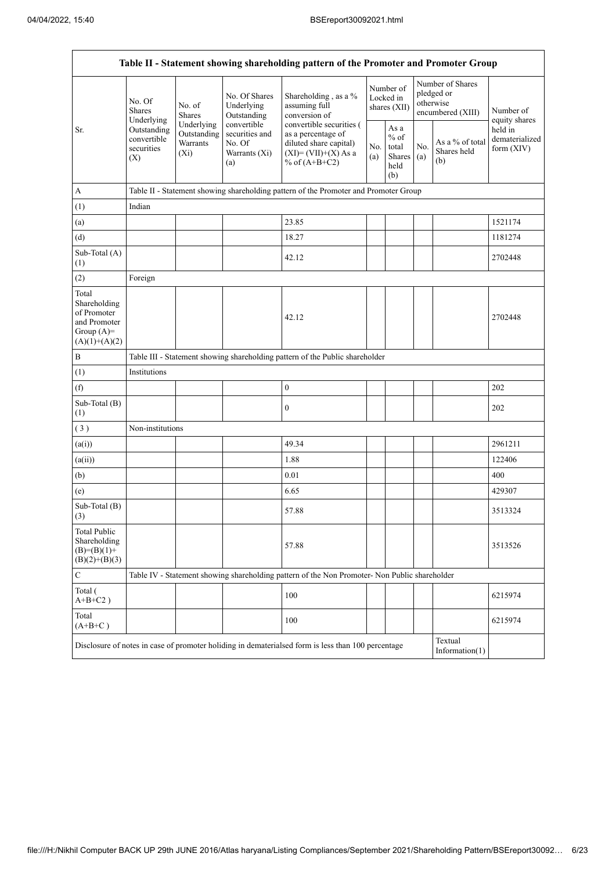$\mathbf{r}$ 

| Table II - Statement showing shareholding pattern of the Promoter and Promoter Group    |                                                 |                                                  |                                                                 |                                                                                                                        |                                                                |                                        |            |                                                                  |                                           |  |  |  |
|-----------------------------------------------------------------------------------------|-------------------------------------------------|--------------------------------------------------|-----------------------------------------------------------------|------------------------------------------------------------------------------------------------------------------------|----------------------------------------------------------------|----------------------------------------|------------|------------------------------------------------------------------|-------------------------------------------|--|--|--|
|                                                                                         | No. Of<br><b>Shares</b><br>Underlying           | No. of<br><b>Shares</b>                          | No. Of Shares<br>Underlying<br>Outstanding                      | Shareholding, as a %<br>assuming full<br>conversion of                                                                 |                                                                | Number of<br>Locked in<br>shares (XII) |            | Number of Shares<br>pledged or<br>otherwise<br>encumbered (XIII) | Number of<br>equity shares                |  |  |  |
| Sr.                                                                                     | Outstanding<br>convertible<br>securities<br>(X) | Underlying<br>Outstanding<br>Warrants<br>$(X_i)$ | convertible<br>securities and<br>No. Of<br>Warrants (Xi)<br>(a) | convertible securities (<br>as a percentage of<br>diluted share capital)<br>$(XI) = (VII)+(X) As a$<br>% of $(A+B+C2)$ | As a<br>$%$ of<br>No.<br>total<br>Shares<br>(a)<br>held<br>(b) |                                        | No.<br>(a) | As a % of total<br>Shares held<br>(b)                            | held in<br>dematerialized<br>form $(XIV)$ |  |  |  |
| $\mathbf{A}$                                                                            |                                                 |                                                  |                                                                 | Table II - Statement showing shareholding pattern of the Promoter and Promoter Group                                   |                                                                |                                        |            |                                                                  |                                           |  |  |  |
| (1)                                                                                     | Indian                                          |                                                  |                                                                 |                                                                                                                        |                                                                |                                        |            |                                                                  |                                           |  |  |  |
| (a)                                                                                     |                                                 |                                                  |                                                                 | 23.85                                                                                                                  |                                                                |                                        |            |                                                                  | 1521174                                   |  |  |  |
| (d)                                                                                     |                                                 |                                                  |                                                                 | 18.27                                                                                                                  |                                                                |                                        |            |                                                                  | 1181274                                   |  |  |  |
| Sub-Total (A)<br>(1)                                                                    |                                                 |                                                  |                                                                 | 42.12                                                                                                                  |                                                                |                                        |            |                                                                  | 2702448                                   |  |  |  |
| (2)                                                                                     | Foreign                                         |                                                  |                                                                 |                                                                                                                        |                                                                |                                        |            |                                                                  |                                           |  |  |  |
| Total<br>Shareholding<br>of Promoter<br>and Promoter<br>Group $(A)=$<br>$(A)(1)+(A)(2)$ |                                                 |                                                  |                                                                 | 42.12                                                                                                                  |                                                                |                                        |            |                                                                  | 2702448                                   |  |  |  |
| $\, {\bf B}$                                                                            |                                                 |                                                  |                                                                 | Table III - Statement showing shareholding pattern of the Public shareholder                                           |                                                                |                                        |            |                                                                  |                                           |  |  |  |
| (1)                                                                                     | Institutions                                    |                                                  |                                                                 |                                                                                                                        |                                                                |                                        |            |                                                                  |                                           |  |  |  |
| (f)                                                                                     |                                                 |                                                  |                                                                 | $\boldsymbol{0}$                                                                                                       |                                                                |                                        |            |                                                                  | 202                                       |  |  |  |
| Sub-Total (B)<br>(1)                                                                    |                                                 |                                                  |                                                                 | $\boldsymbol{0}$                                                                                                       |                                                                |                                        |            |                                                                  | 202                                       |  |  |  |
| (3)                                                                                     | Non-institutions                                |                                                  |                                                                 |                                                                                                                        |                                                                |                                        |            |                                                                  |                                           |  |  |  |
| (a(i))                                                                                  |                                                 |                                                  |                                                                 | 49.34                                                                                                                  |                                                                |                                        |            |                                                                  | 2961211                                   |  |  |  |
| (a(ii))                                                                                 |                                                 |                                                  |                                                                 | 1.88                                                                                                                   |                                                                |                                        |            |                                                                  | 122406                                    |  |  |  |
| (b)                                                                                     |                                                 |                                                  |                                                                 | 0.01                                                                                                                   |                                                                |                                        |            |                                                                  | 400                                       |  |  |  |
| (e)                                                                                     |                                                 |                                                  |                                                                 | 6.65                                                                                                                   |                                                                |                                        |            |                                                                  | 429307                                    |  |  |  |
| Sub-Total (B)<br>(3)                                                                    |                                                 |                                                  |                                                                 | 57.88                                                                                                                  |                                                                |                                        |            |                                                                  | 3513324                                   |  |  |  |
| <b>Total Public</b><br>Shareholding<br>$(B)=(B)(1)+$<br>$(B)(2)+(B)(3)$                 |                                                 |                                                  |                                                                 | 57.88                                                                                                                  |                                                                |                                        |            |                                                                  | 3513526                                   |  |  |  |
| $\mathbf C$                                                                             |                                                 |                                                  |                                                                 | Table IV - Statement showing shareholding pattern of the Non Promoter- Non Public shareholder                          |                                                                |                                        |            |                                                                  |                                           |  |  |  |
| Total (<br>$A+B+C2$ )                                                                   |                                                 |                                                  |                                                                 | 100                                                                                                                    |                                                                |                                        |            |                                                                  | 6215974                                   |  |  |  |
| Total<br>$(A+B+C)$                                                                      |                                                 |                                                  |                                                                 | 100                                                                                                                    |                                                                |                                        |            |                                                                  | 6215974                                   |  |  |  |
|                                                                                         |                                                 |                                                  |                                                                 | Disclosure of notes in case of promoter holiding in dematerialsed form is less than 100 percentage                     |                                                                |                                        |            | Textual<br>Information $(1)$                                     |                                           |  |  |  |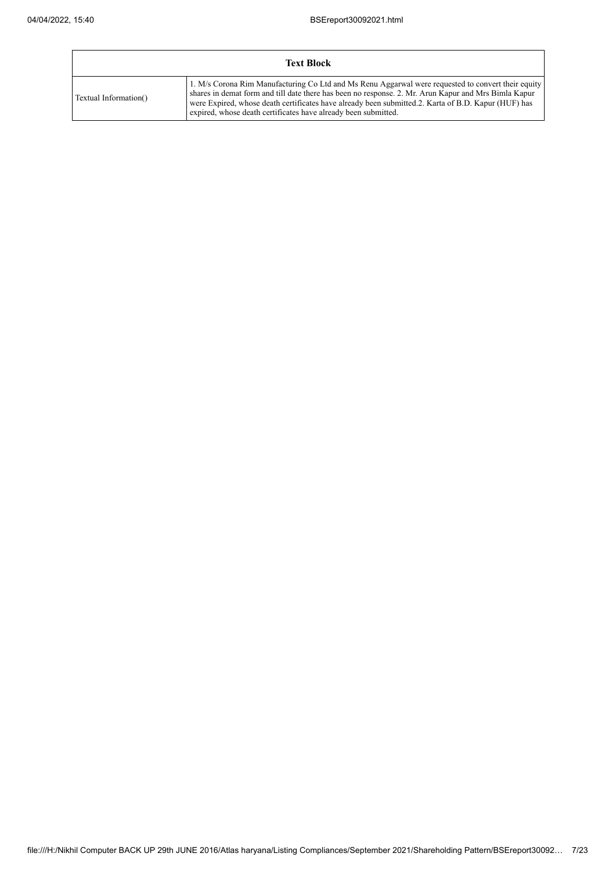$\overline{1}$ 

|                       | <b>Text Block</b>                                                                                                                                                                                                                                                                                                                                                                   |
|-----------------------|-------------------------------------------------------------------------------------------------------------------------------------------------------------------------------------------------------------------------------------------------------------------------------------------------------------------------------------------------------------------------------------|
| Textual Information() | 1. M/s Corona Rim Manufacturing Co Ltd and Ms Renu Aggarwal were requested to convert their equity<br>shares in demat form and till date there has been no response. 2. Mr. Arun Kapur and Mrs Bimla Kapur<br>were Expired, whose death certificates have already been submitted.2. Karta of B.D. Kapur (HUF) has<br>expired, whose death certificates have already been submitted. |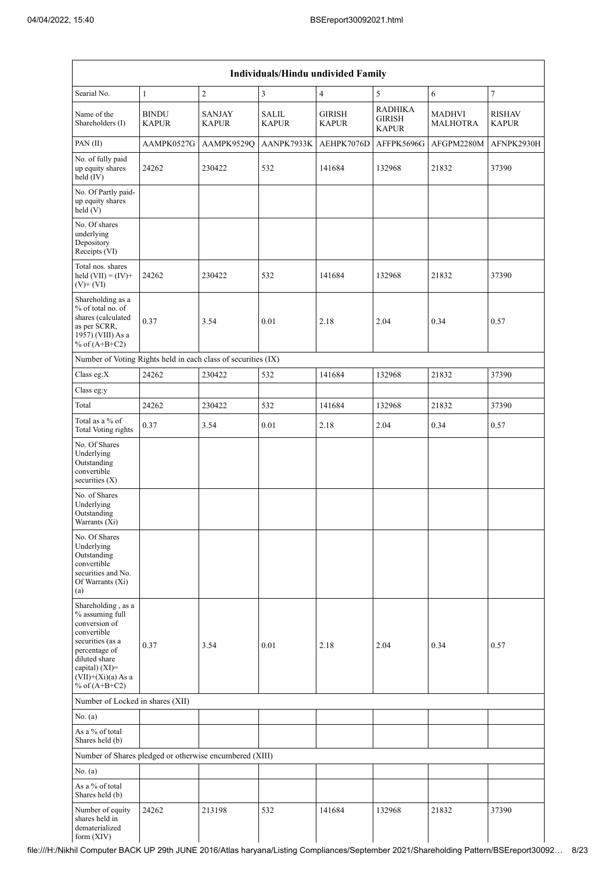| Individuals/Hindu undivided Family                                                                                                                                                       |                              |                               |                              |                               |                                          |                                  |                               |  |  |  |  |  |
|------------------------------------------------------------------------------------------------------------------------------------------------------------------------------------------|------------------------------|-------------------------------|------------------------------|-------------------------------|------------------------------------------|----------------------------------|-------------------------------|--|--|--|--|--|
| Searial No.                                                                                                                                                                              | $\mathbf{1}$                 | $\sqrt{2}$                    | 3                            | $\overline{4}$                | 5                                        | 6                                | $\tau$                        |  |  |  |  |  |
| Name of the<br>Shareholders (I)                                                                                                                                                          | <b>BINDU</b><br><b>KAPUR</b> | <b>SANJAY</b><br><b>KAPUR</b> | <b>SALIL</b><br><b>KAPUR</b> | <b>GIRISH</b><br><b>KAPUR</b> | <b>RADHIKA</b><br>GIRISH<br><b>KAPUR</b> | <b>MADHVI</b><br><b>MALHOTRA</b> | <b>RISHAV</b><br><b>KAPUR</b> |  |  |  |  |  |
| PAN(II)                                                                                                                                                                                  | AAMPK0527G                   | AAMPK9529Q                    | AANPK7933K                   | AEHPK7076D                    | AFFPK5696G                               | AFGPM2280M                       | AFNPK2930H                    |  |  |  |  |  |
| No. of fully paid<br>up equity shares<br>held (IV)                                                                                                                                       | 24262                        | 230422                        | 532                          | 141684                        | 132968                                   | 21832                            | 37390                         |  |  |  |  |  |
| No. Of Partly paid-<br>up equity shares<br>held (V)                                                                                                                                      |                              |                               |                              |                               |                                          |                                  |                               |  |  |  |  |  |
| No. Of shares<br>underlying<br>Depository<br>Receipts (VI)                                                                                                                               |                              |                               |                              |                               |                                          |                                  |                               |  |  |  |  |  |
| Total nos. shares<br>held $(VII) = (IV) +$<br>$(V)$ + $(VI)$                                                                                                                             | 24262                        | 230422                        | 532                          | 141684                        | 132968                                   | 21832                            | 37390                         |  |  |  |  |  |
| Shareholding as a<br>% of total no. of<br>shares (calculated<br>as per SCRR,<br>1957) (VIII) As a<br>% of $(A+B+C2)$                                                                     | 0.37                         | 3.54                          | 0.01                         | 2.18                          | 2.04                                     | 0.34                             | 0.57                          |  |  |  |  |  |
| Number of Voting Rights held in each class of securities (IX)                                                                                                                            |                              |                               |                              |                               |                                          |                                  |                               |  |  |  |  |  |
| Class eg:X                                                                                                                                                                               | 24262                        | 230422                        | 532                          | 141684                        | 132968                                   | 21832                            | 37390                         |  |  |  |  |  |
| Class eg:y                                                                                                                                                                               |                              |                               |                              |                               |                                          |                                  |                               |  |  |  |  |  |
| Total                                                                                                                                                                                    | 24262                        | 230422                        | 532                          | 141684                        | 132968                                   | 21832                            | 37390                         |  |  |  |  |  |
| Total as a % of<br><b>Total Voting rights</b>                                                                                                                                            | 0.37                         | 3.54                          | 0.01                         | 2.18                          | 2.04                                     | 0.34                             | 0.57                          |  |  |  |  |  |
| No. Of Shares<br>Underlying<br>Outstanding<br>convertible<br>securities $(X)$                                                                                                            |                              |                               |                              |                               |                                          |                                  |                               |  |  |  |  |  |
| No. of Shares<br>Underlying<br>Outstanding<br>Warrants (Xi)                                                                                                                              |                              |                               |                              |                               |                                          |                                  |                               |  |  |  |  |  |
| No. Of Shares<br>Underlying<br>Outstanding<br>convertible<br>securities and No.<br>Of Warrants (Xi)<br>(a)                                                                               |                              |                               |                              |                               |                                          |                                  |                               |  |  |  |  |  |
| Shareholding, as a<br>% assuming full<br>conversion of<br>convertible<br>securities (as a<br>percentage of<br>diluted share<br>capital) (XI)=<br>$(VII)+(Xi)(a)$ As a<br>% of $(A+B+C2)$ | 0.37                         | 3.54                          | 0.01                         | 2.18                          | 2.04                                     | 0.34                             | 0.57                          |  |  |  |  |  |
| Number of Locked in shares (XII)                                                                                                                                                         |                              |                               |                              |                               |                                          |                                  |                               |  |  |  |  |  |
| No. (a)                                                                                                                                                                                  |                              |                               |                              |                               |                                          |                                  |                               |  |  |  |  |  |
| As a % of total<br>Shares held (b)                                                                                                                                                       |                              |                               |                              |                               |                                          |                                  |                               |  |  |  |  |  |
| Number of Shares pledged or otherwise encumbered (XIII)                                                                                                                                  |                              |                               |                              |                               |                                          |                                  |                               |  |  |  |  |  |
| No. (a)                                                                                                                                                                                  |                              |                               |                              |                               |                                          |                                  |                               |  |  |  |  |  |
| As a % of total<br>Shares held (b)                                                                                                                                                       |                              |                               |                              |                               |                                          |                                  |                               |  |  |  |  |  |
| Number of equity<br>shares held in<br>dematerialized<br>form (XIV)                                                                                                                       | 24262                        | 213198                        | 532                          | 141684                        | 132968                                   | 21832                            | 37390                         |  |  |  |  |  |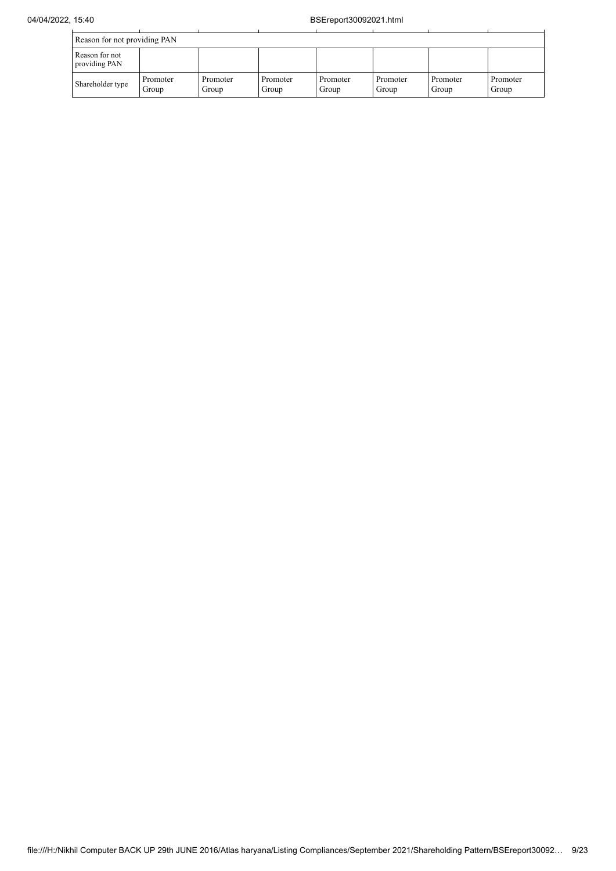|                                 | Reason for not providing PAN |                   |                   |                   |                   |                   |                   |  |  |  |  |  |
|---------------------------------|------------------------------|-------------------|-------------------|-------------------|-------------------|-------------------|-------------------|--|--|--|--|--|
| Reason for not<br>providing PAN |                              |                   |                   |                   |                   |                   |                   |  |  |  |  |  |
| Shareholder type                | Promoter<br>Group            | Promoter<br>Group | Promoter<br>Group | Promoter<br>Group | Promoter<br>Group | Promoter<br>Group | Promoter<br>Group |  |  |  |  |  |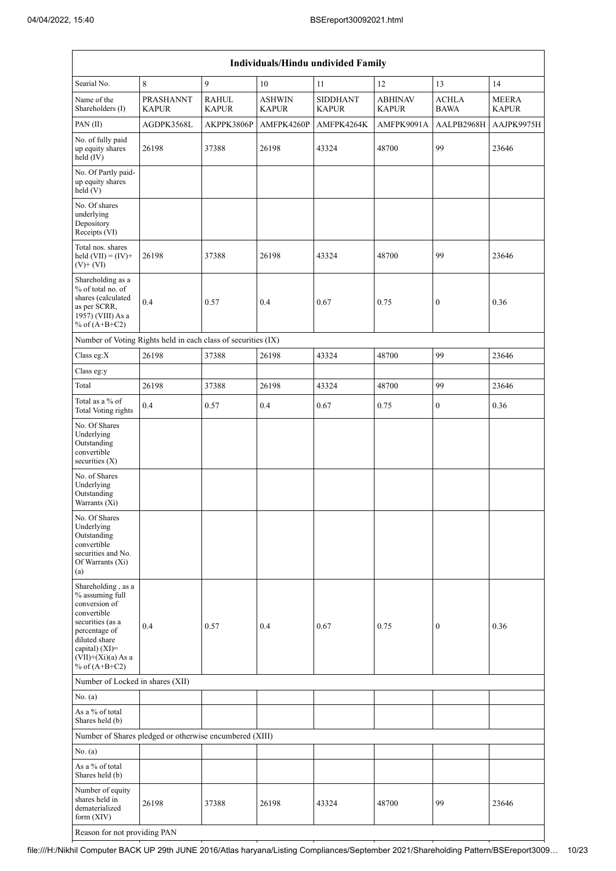| Individuals/Hindu undivided Family                                                                                                                                                       |                                  |                              |                               |                                 |                                |                             |                              |  |  |  |  |  |
|------------------------------------------------------------------------------------------------------------------------------------------------------------------------------------------|----------------------------------|------------------------------|-------------------------------|---------------------------------|--------------------------------|-----------------------------|------------------------------|--|--|--|--|--|
| Searial No.                                                                                                                                                                              | $\,8\,$                          | 9                            | 10                            | 11                              | 12                             | 13                          | 14                           |  |  |  |  |  |
| Name of the<br>Shareholders (I)                                                                                                                                                          | <b>PRASHANNT</b><br><b>KAPUR</b> | <b>RAHUL</b><br><b>KAPUR</b> | <b>ASHWIN</b><br><b>KAPUR</b> | <b>SIDDHANT</b><br><b>KAPUR</b> | <b>ABHINAV</b><br><b>KAPUR</b> | <b>ACHLA</b><br><b>BAWA</b> | <b>MEERA</b><br><b>KAPUR</b> |  |  |  |  |  |
| PAN(II)                                                                                                                                                                                  | AGDPK3568L                       | AKPPK3806P                   | AMFPK4260P                    | AMFPK4264K                      | AMFPK9091A                     | AALPB2968H                  | AAJPK9975H                   |  |  |  |  |  |
| No. of fully paid<br>up equity shares<br>held (IV)                                                                                                                                       | 26198                            | 37388                        | 26198                         | 43324                           | 48700                          | 99                          | 23646                        |  |  |  |  |  |
| No. Of Partly paid-<br>up equity shares<br>held(V)                                                                                                                                       |                                  |                              |                               |                                 |                                |                             |                              |  |  |  |  |  |
| No. Of shares<br>underlying<br>Depository<br>Receipts (VI)                                                                                                                               |                                  |                              |                               |                                 |                                |                             |                              |  |  |  |  |  |
| Total nos. shares<br>held $(VII) = (IV) +$<br>$(V)+(VI)$                                                                                                                                 | 26198                            | 37388                        | 26198                         | 43324                           | 48700                          | 99                          | 23646                        |  |  |  |  |  |
| Shareholding as a<br>% of total no. of<br>shares (calculated<br>as per SCRR,<br>1957) (VIII) As a<br>% of $(A+B+C2)$                                                                     | 0.4                              | 0.57                         | 0.4                           | 0.67                            | 0.75                           | $\boldsymbol{0}$            | 0.36                         |  |  |  |  |  |
| Number of Voting Rights held in each class of securities (IX)                                                                                                                            |                                  |                              |                               |                                 |                                |                             |                              |  |  |  |  |  |
| Class eg: $X$                                                                                                                                                                            | 26198                            | 37388                        | 26198                         | 43324                           | 48700                          | 99                          | 23646                        |  |  |  |  |  |
| Class eg:y                                                                                                                                                                               |                                  |                              |                               |                                 |                                |                             |                              |  |  |  |  |  |
| Total                                                                                                                                                                                    | 26198                            | 37388                        | 26198                         | 43324                           | 48700                          | 99                          | 23646                        |  |  |  |  |  |
| Total as a % of<br><b>Total Voting rights</b>                                                                                                                                            | 0.4                              | 0.57                         | 0.4                           | 0.67                            | 0.75                           | $\boldsymbol{0}$            | 0.36                         |  |  |  |  |  |
| No. Of Shares<br>Underlying<br>Outstanding<br>convertible<br>securities $(X)$                                                                                                            |                                  |                              |                               |                                 |                                |                             |                              |  |  |  |  |  |
| No. of Shares<br>Underlying<br>Outstanding<br>Warrants (Xi)                                                                                                                              |                                  |                              |                               |                                 |                                |                             |                              |  |  |  |  |  |
| No. Of Shares<br>Underlying<br>Outstanding<br>convertible<br>securities and No.<br>Of Warrants (Xi)<br>(a)                                                                               |                                  |                              |                               |                                 |                                |                             |                              |  |  |  |  |  |
| Shareholding, as a<br>% assuming full<br>conversion of<br>convertible<br>securities (as a<br>percentage of<br>diluted share<br>capital) (XI)=<br>$(VII)+(Xi)(a)$ As a<br>% of $(A+B+C2)$ | 0.4                              | 0.57                         | 0.4                           | 0.67                            | 0.75                           | $\boldsymbol{0}$            | 0.36                         |  |  |  |  |  |
| Number of Locked in shares (XII)                                                                                                                                                         |                                  |                              |                               |                                 |                                |                             |                              |  |  |  |  |  |
| No. (a)                                                                                                                                                                                  |                                  |                              |                               |                                 |                                |                             |                              |  |  |  |  |  |
| As a % of total<br>Shares held (b)                                                                                                                                                       |                                  |                              |                               |                                 |                                |                             |                              |  |  |  |  |  |
| Number of Shares pledged or otherwise encumbered (XIII)                                                                                                                                  |                                  |                              |                               |                                 |                                |                             |                              |  |  |  |  |  |
| No. (a)                                                                                                                                                                                  |                                  |                              |                               |                                 |                                |                             |                              |  |  |  |  |  |
| As a % of total<br>Shares held (b)                                                                                                                                                       |                                  |                              |                               |                                 |                                |                             |                              |  |  |  |  |  |
| Number of equity<br>shares held in<br>dematerialized<br>form (XIV)                                                                                                                       | 26198                            | 37388                        | 26198                         | 43324                           | 48700                          | 99                          | 23646                        |  |  |  |  |  |

Reason for not providing PAN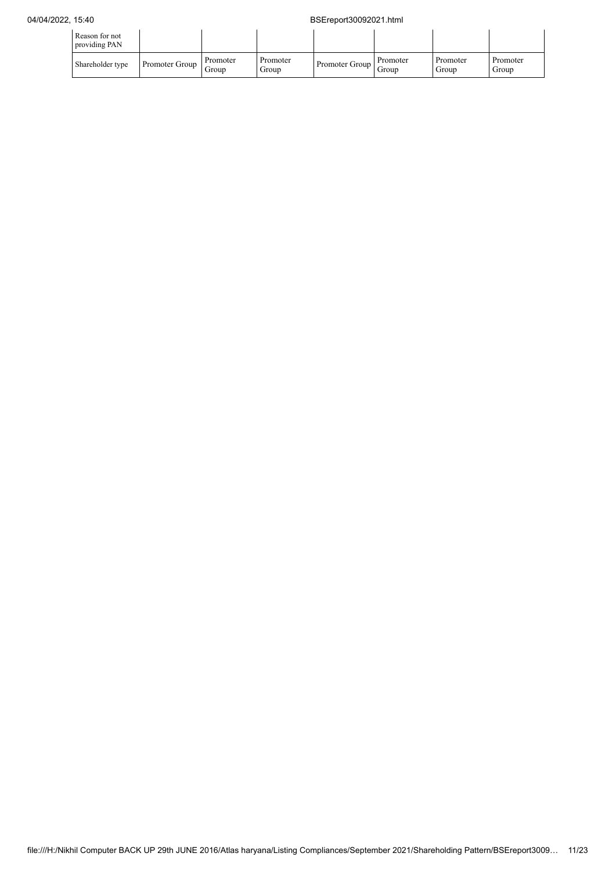| Reason for not<br>providing PAN |                |                   |                   |                |                   |                   |                   |
|---------------------------------|----------------|-------------------|-------------------|----------------|-------------------|-------------------|-------------------|
| Shareholder type                | Promoter Group | Promoter<br>Group | Promoter<br>Group | Promoter Group | Promoter<br>Group | Promoter<br>Group | Promoter<br>Group |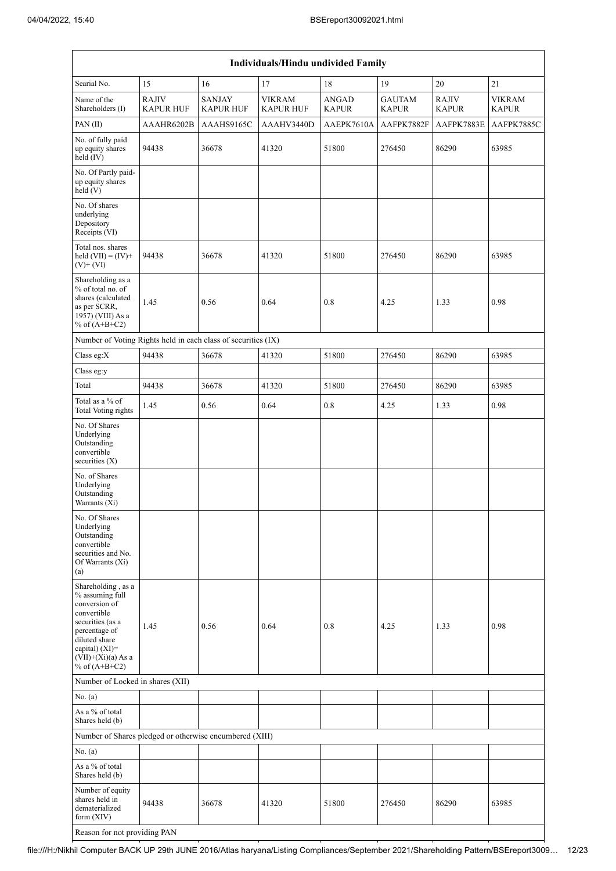| <b>Individuals/Hindu undivided Family</b>                                                                                                                                                |                                  |                                   |                                   |                              |                               |                              |                               |  |  |  |  |  |
|------------------------------------------------------------------------------------------------------------------------------------------------------------------------------------------|----------------------------------|-----------------------------------|-----------------------------------|------------------------------|-------------------------------|------------------------------|-------------------------------|--|--|--|--|--|
| Searial No.                                                                                                                                                                              | 15                               | 16                                | 17                                | 18                           | 19                            | $20\,$                       | 21                            |  |  |  |  |  |
| Name of the<br>Shareholders (I)                                                                                                                                                          | <b>RAJIV</b><br><b>KAPUR HUF</b> | <b>SANJAY</b><br><b>KAPUR HUF</b> | <b>VIKRAM</b><br><b>KAPUR HUF</b> | <b>ANGAD</b><br><b>KAPUR</b> | <b>GAUTAM</b><br><b>KAPUR</b> | <b>RAJIV</b><br><b>KAPUR</b> | <b>VIKRAM</b><br><b>KAPUR</b> |  |  |  |  |  |
| PAN(II)                                                                                                                                                                                  | AAAHR6202B                       | AAAHS9165C                        | AAAHV3440D                        | AAEPK7610A                   | AAFPK7882F                    | AAFPK7883E                   | AAFPK7885C                    |  |  |  |  |  |
| No. of fully paid<br>up equity shares<br>held $(IV)$                                                                                                                                     | 94438                            | 36678                             | 41320                             | 51800                        | 276450                        | 86290                        | 63985                         |  |  |  |  |  |
| No. Of Partly paid-<br>up equity shares<br>held(V)                                                                                                                                       |                                  |                                   |                                   |                              |                               |                              |                               |  |  |  |  |  |
| No. Of shares<br>underlying<br>Depository<br>Receipts (VI)                                                                                                                               |                                  |                                   |                                   |                              |                               |                              |                               |  |  |  |  |  |
| Total nos. shares<br>held $(VII) = (IV) +$<br>$(V)$ + $(VI)$                                                                                                                             | 94438                            | 36678                             | 41320                             | 51800                        | 276450                        | 86290                        | 63985                         |  |  |  |  |  |
| Shareholding as a<br>% of total no. of<br>shares (calculated<br>as per SCRR,<br>1957) (VIII) As a<br>% of $(A+B+C2)$                                                                     | 1.45                             | 0.56                              | 0.64                              | 0.8                          | 4.25                          | 1.33                         | 0.98                          |  |  |  |  |  |
| Number of Voting Rights held in each class of securities (IX)                                                                                                                            |                                  |                                   |                                   |                              |                               |                              |                               |  |  |  |  |  |
| Class eg:X                                                                                                                                                                               | 94438                            | 36678                             | 41320                             | 51800                        | 276450                        | 86290                        | 63985                         |  |  |  |  |  |
| Class eg:y                                                                                                                                                                               |                                  |                                   |                                   |                              |                               |                              |                               |  |  |  |  |  |
| Total                                                                                                                                                                                    | 94438                            | 36678                             | 41320                             | 51800                        | 276450                        | 86290                        | 63985                         |  |  |  |  |  |
| Total as a % of<br>Total Voting rights                                                                                                                                                   | 1.45                             | 0.56                              | 0.64                              | 0.8                          | 4.25                          | 1.33                         | 0.98                          |  |  |  |  |  |
| No. Of Shares<br>Underlying<br>Outstanding<br>convertible<br>securities $(X)$                                                                                                            |                                  |                                   |                                   |                              |                               |                              |                               |  |  |  |  |  |
| No. of Shares<br>Underlying<br>Outstanding<br>Warrants (Xi)                                                                                                                              |                                  |                                   |                                   |                              |                               |                              |                               |  |  |  |  |  |
| No. Of Shares<br>Underlying<br>Outstanding<br>convertible<br>securities and No.<br>Of Warrants (Xi)<br>(a)                                                                               |                                  |                                   |                                   |                              |                               |                              |                               |  |  |  |  |  |
| Shareholding, as a<br>% assuming full<br>conversion of<br>convertible<br>securities (as a<br>percentage of<br>diluted share<br>capital) (XI)=<br>$(VII)+(Xi)(a)$ As a<br>% of $(A+B+C2)$ | 1.45                             | 0.56                              | 0.64                              | 0.8                          | 4.25                          | 1.33                         | 0.98                          |  |  |  |  |  |
| Number of Locked in shares (XII)                                                                                                                                                         |                                  |                                   |                                   |                              |                               |                              |                               |  |  |  |  |  |
| No. (a)                                                                                                                                                                                  |                                  |                                   |                                   |                              |                               |                              |                               |  |  |  |  |  |
| As a % of total<br>Shares held (b)                                                                                                                                                       |                                  |                                   |                                   |                              |                               |                              |                               |  |  |  |  |  |
| Number of Shares pledged or otherwise encumbered (XIII)                                                                                                                                  |                                  |                                   |                                   |                              |                               |                              |                               |  |  |  |  |  |
| No. (a)                                                                                                                                                                                  |                                  |                                   |                                   |                              |                               |                              |                               |  |  |  |  |  |
| As a % of total<br>Shares held (b)                                                                                                                                                       |                                  |                                   |                                   |                              |                               |                              |                               |  |  |  |  |  |
| Number of equity<br>shares held in<br>dematerialized<br>form $(XIV)$                                                                                                                     | 94438                            | 36678                             | 41320                             | 51800                        | 276450                        | 86290                        | 63985                         |  |  |  |  |  |
| Reason for not providing PAN                                                                                                                                                             |                                  |                                   |                                   |                              |                               |                              |                               |  |  |  |  |  |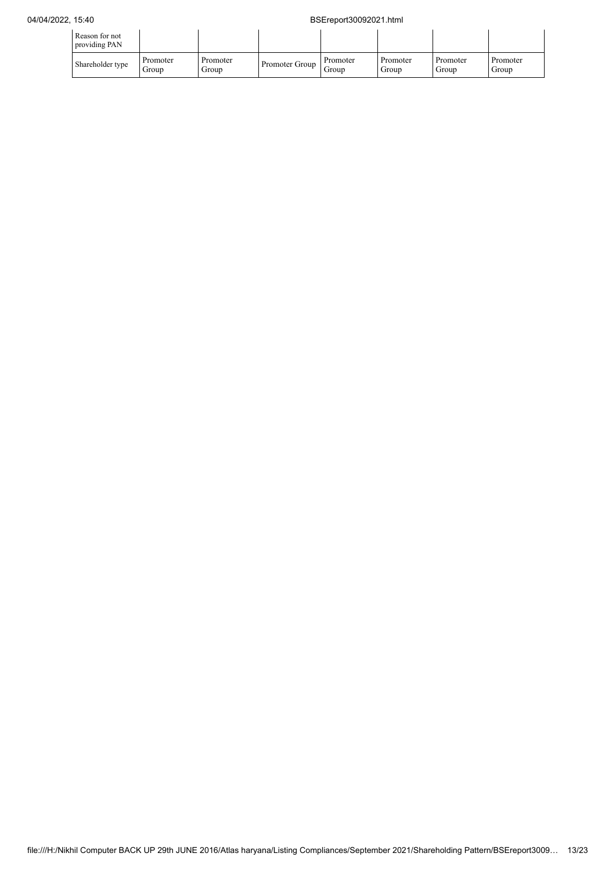## 04/04/2022, 15:40 BSEreport30092021.html

| Reason for not<br>providing PAN |                   |                   |                |                   |                   |                   |                   |
|---------------------------------|-------------------|-------------------|----------------|-------------------|-------------------|-------------------|-------------------|
| Shareholder type                | Promoter<br>Group | Promoter<br>Group | Promoter Group | Promoter<br>Group | Promoter<br>Group | Promoter<br>Group | Promoter<br>Group |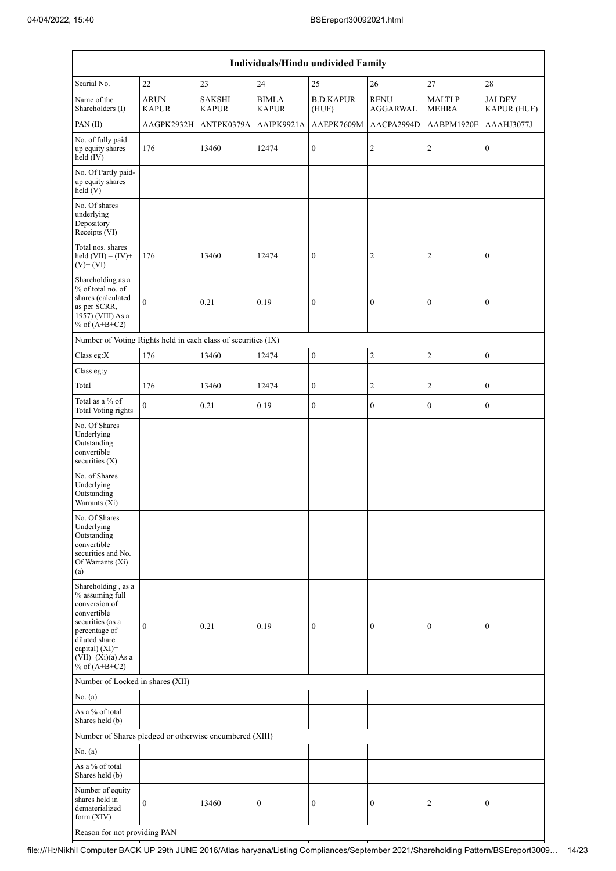| Individuals/Hindu undivided Family                                                                                                                                    |                                                               |                               |                              |                           |                                |                               |                               |  |  |  |
|-----------------------------------------------------------------------------------------------------------------------------------------------------------------------|---------------------------------------------------------------|-------------------------------|------------------------------|---------------------------|--------------------------------|-------------------------------|-------------------------------|--|--|--|
| Searial No.                                                                                                                                                           | 22                                                            | 23                            | $24\,$                       | 25                        | 26                             | $27\,$                        | 28                            |  |  |  |
| Name of the<br>Shareholders (I)                                                                                                                                       | <b>ARUN</b><br><b>KAPUR</b>                                   | <b>SAKSHI</b><br><b>KAPUR</b> | <b>BIMLA</b><br><b>KAPUR</b> | <b>B.D.KAPUR</b><br>(HUF) | <b>RENU</b><br><b>AGGARWAL</b> | <b>MALTIP</b><br><b>MEHRA</b> | <b>JAI DEV</b><br>KAPUR (HUF) |  |  |  |
| PAN(II)                                                                                                                                                               | AAGPK2932H                                                    | ANTPK0379A                    | AAIPK9921A                   | AAEPK7609M                | AACPA2994D                     | AABPM1920E                    | AAAHJ3077J                    |  |  |  |
| No. of fully paid<br>up equity shares<br>held $(IV)$                                                                                                                  | 176                                                           | 13460                         | 12474                        | $\boldsymbol{0}$          | $\mathfrak{2}$                 | $\sqrt{2}$                    | $\boldsymbol{0}$              |  |  |  |
| No. Of Partly paid-<br>up equity shares<br>held $(V)$                                                                                                                 |                                                               |                               |                              |                           |                                |                               |                               |  |  |  |
| No. Of shares<br>underlying<br>Depository<br>Receipts (VI)                                                                                                            |                                                               |                               |                              |                           |                                |                               |                               |  |  |  |
| Total nos. shares<br>held $(VII) = (IV) +$<br>$(V)$ + $(VI)$                                                                                                          | 176                                                           | 13460                         | 12474                        | $\boldsymbol{0}$          | $\overline{c}$                 | 2                             | $\boldsymbol{0}$              |  |  |  |
| Shareholding as a<br>% of total no. of<br>shares (calculated<br>as per SCRR,<br>1957) (VIII) As a<br>% of $(A+B+C2)$                                                  | $\mathbf{0}$                                                  | 0.21                          | 0.19                         | $\boldsymbol{0}$          | $\boldsymbol{0}$               | $\boldsymbol{0}$              | $\boldsymbol{0}$              |  |  |  |
|                                                                                                                                                                       | Number of Voting Rights held in each class of securities (IX) |                               |                              |                           |                                |                               |                               |  |  |  |
| Class eg:X                                                                                                                                                            | 176                                                           | 13460                         | 12474                        | $\overline{0}$            | $\overline{2}$                 | $\overline{c}$                | $\mathbf{0}$                  |  |  |  |
| Class eg:y                                                                                                                                                            |                                                               |                               |                              |                           |                                |                               |                               |  |  |  |
| Total                                                                                                                                                                 | 176                                                           | 13460                         | 12474                        | $\boldsymbol{0}$          | $\overline{2}$                 | $\overline{c}$                | $\mathbf{0}$                  |  |  |  |
| Total as a % of<br><b>Total Voting rights</b>                                                                                                                         | $\theta$                                                      | 0.21                          | 0.19                         | $\boldsymbol{0}$          | $\boldsymbol{0}$               | $\boldsymbol{0}$              | $\boldsymbol{0}$              |  |  |  |
| No. Of Shares<br>Underlying<br>Outstanding<br>convertible<br>securities (X)                                                                                           |                                                               |                               |                              |                           |                                |                               |                               |  |  |  |
| No. of Shares<br>Underlying<br>Outstanding<br>Warrants (Xi)                                                                                                           |                                                               |                               |                              |                           |                                |                               |                               |  |  |  |
| No. Of Shares<br>Underlying<br>Outstanding<br>convertible<br>securities and No.<br>Of Warrants (Xi)<br>(a)                                                            |                                                               |                               |                              |                           |                                |                               |                               |  |  |  |
| Shareholding, as a<br>% assuming full<br>conversion of<br>convertible<br>securities (as a<br>percentage of<br>diluted share<br>capital) (XI)=<br>$(VII)+(Xi)(a)$ As a | $\boldsymbol{0}$                                              | 0.21                          | 0.19                         | $\boldsymbol{0}$          | $\boldsymbol{0}$               | $\boldsymbol{0}$              | $\boldsymbol{0}$              |  |  |  |
| % of $(A+B+C2)$                                                                                                                                                       |                                                               |                               |                              |                           |                                |                               |                               |  |  |  |
| Number of Locked in shares (XII)                                                                                                                                      |                                                               |                               |                              |                           |                                |                               |                               |  |  |  |
| No. (a)<br>As a % of total<br>Shares held (b)                                                                                                                         |                                                               |                               |                              |                           |                                |                               |                               |  |  |  |
| Number of Shares pledged or otherwise encumbered (XIII)                                                                                                               |                                                               |                               |                              |                           |                                |                               |                               |  |  |  |
| No. (a)                                                                                                                                                               |                                                               |                               |                              |                           |                                |                               |                               |  |  |  |
| As a % of total<br>Shares held (b)                                                                                                                                    |                                                               |                               |                              |                           |                                |                               |                               |  |  |  |
| Number of equity<br>shares held in<br>dematerialized<br>form $(XIV)$                                                                                                  | $\mathbf{0}$                                                  | 13460                         | $\boldsymbol{0}$             | $\boldsymbol{0}$          | $\boldsymbol{0}$               | $\overline{c}$                | $\boldsymbol{0}$              |  |  |  |
| Reason for not providing PAN                                                                                                                                          |                                                               |                               |                              |                           |                                |                               |                               |  |  |  |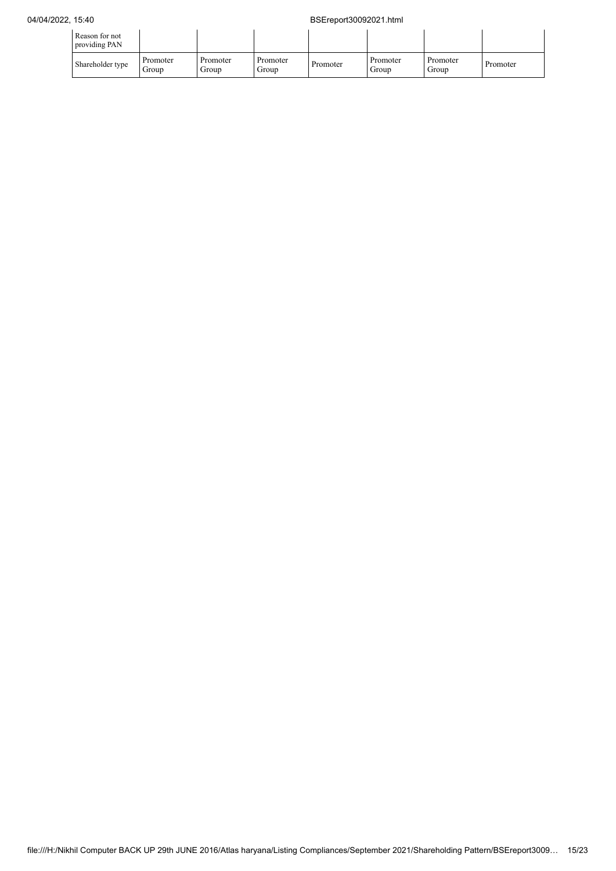| Reason for not<br>providing PAN |                   |                   |                   |          |                   |                   |          |
|---------------------------------|-------------------|-------------------|-------------------|----------|-------------------|-------------------|----------|
| Shareholder type                | Promoter<br>Group | Promoter<br>Group | Promoter<br>Group | Promoter | Promoter<br>Group | Promoter<br>Group | Promoter |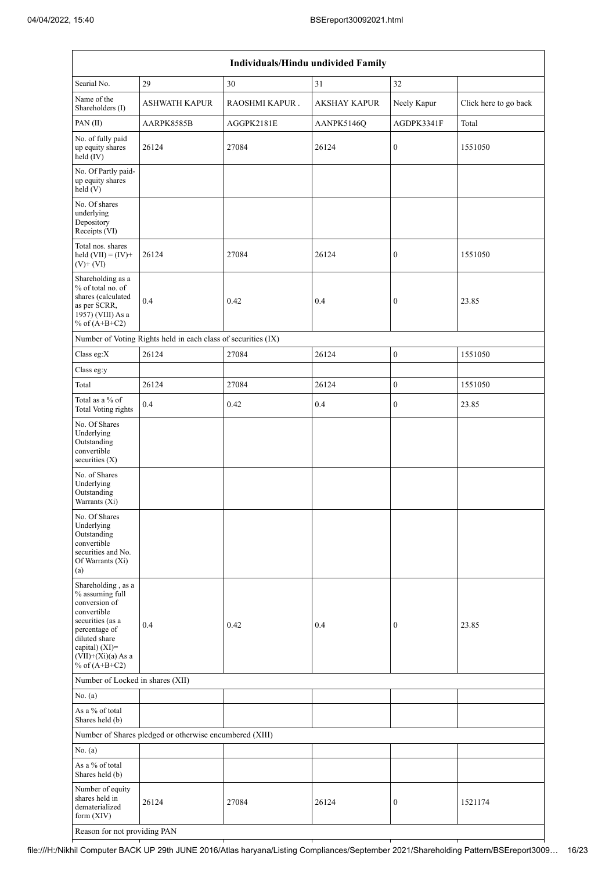| Individuals/Hindu undivided Family                                                                                                                                                       |                                                         |                |                     |                  |                       |  |  |  |  |
|------------------------------------------------------------------------------------------------------------------------------------------------------------------------------------------|---------------------------------------------------------|----------------|---------------------|------------------|-----------------------|--|--|--|--|
| Searial No.                                                                                                                                                                              | 29                                                      | 30             | 31                  | 32               |                       |  |  |  |  |
| Name of the<br>Shareholders (I)                                                                                                                                                          | <b>ASHWATH KAPUR</b>                                    | RAOSHMI KAPUR. | <b>AKSHAY KAPUR</b> | Neely Kapur      | Click here to go back |  |  |  |  |
| PAN(II)                                                                                                                                                                                  | AARPK8585B                                              | AGGPK2181E     | AANPK5146Q          | AGDPK3341F       | Total                 |  |  |  |  |
| No. of fully paid<br>up equity shares<br>held (IV)                                                                                                                                       | 26124                                                   | 27084          | 26124               | 0                | 1551050               |  |  |  |  |
| No. Of Partly paid-<br>up equity shares<br>held(V)                                                                                                                                       |                                                         |                |                     |                  |                       |  |  |  |  |
| No. Of shares<br>underlying<br>Depository<br>Receipts (VI)                                                                                                                               |                                                         |                |                     |                  |                       |  |  |  |  |
| Total nos. shares<br>held $(VII) = (IV) +$<br>$(V)$ + $(VI)$                                                                                                                             | 26124                                                   | 27084          | 26124               | $\boldsymbol{0}$ | 1551050               |  |  |  |  |
| Shareholding as a<br>% of total no. of<br>shares (calculated<br>as per SCRR,<br>1957) (VIII) As a<br>% of $(A+B+C2)$                                                                     | 0.4                                                     | 0.42           | 0.4                 | 0                | 23.85                 |  |  |  |  |
| Number of Voting Rights held in each class of securities (IX)                                                                                                                            |                                                         |                |                     |                  |                       |  |  |  |  |
| Class eg:X                                                                                                                                                                               | 26124                                                   | 27084          | 26124               | $\boldsymbol{0}$ | 1551050               |  |  |  |  |
| Class eg:y                                                                                                                                                                               |                                                         |                |                     |                  |                       |  |  |  |  |
| Total                                                                                                                                                                                    | 26124                                                   | 27084          | 26124               | $\overline{0}$   | 1551050               |  |  |  |  |
| Total as a % of<br><b>Total Voting rights</b>                                                                                                                                            | 0.4                                                     | 0.42           | 0.4                 | 0                | 23.85                 |  |  |  |  |
| No. Of Shares<br>Underlying<br>Outstanding<br>convertible<br>securities $(X)$                                                                                                            |                                                         |                |                     |                  |                       |  |  |  |  |
| No. of Shares<br>Underlying<br>Outstanding<br>Warrants (Xi)                                                                                                                              |                                                         |                |                     |                  |                       |  |  |  |  |
| No. Of Shares<br>Underlying<br>Outstanding<br>convertible<br>securities and No.<br>Of Warrants (Xi)<br>(a)                                                                               |                                                         |                |                     |                  |                       |  |  |  |  |
| Shareholding, as a<br>% assuming full<br>conversion of<br>convertible<br>securities (as a<br>percentage of<br>diluted share<br>capital) (XI)=<br>$(VII)+(Xi)(a)$ As a<br>% of $(A+B+C2)$ | 0.4                                                     | 0.42           | 0.4                 | 0                | 23.85                 |  |  |  |  |
| Number of Locked in shares (XII)                                                                                                                                                         |                                                         |                |                     |                  |                       |  |  |  |  |
| No. (a)                                                                                                                                                                                  |                                                         |                |                     |                  |                       |  |  |  |  |
| As a % of total<br>Shares held (b)                                                                                                                                                       |                                                         |                |                     |                  |                       |  |  |  |  |
|                                                                                                                                                                                          | Number of Shares pledged or otherwise encumbered (XIII) |                |                     |                  |                       |  |  |  |  |
| No. (a)                                                                                                                                                                                  |                                                         |                |                     |                  |                       |  |  |  |  |
| As a $\%$ of total<br>Shares held (b)                                                                                                                                                    |                                                         |                |                     |                  |                       |  |  |  |  |
| Number of equity<br>shares held in<br>dematerialized<br>form $(XIV)$                                                                                                                     | 26124                                                   | 27084          | 26124               | 0                | 1521174               |  |  |  |  |
| Reason for not providing PAN                                                                                                                                                             |                                                         |                |                     |                  |                       |  |  |  |  |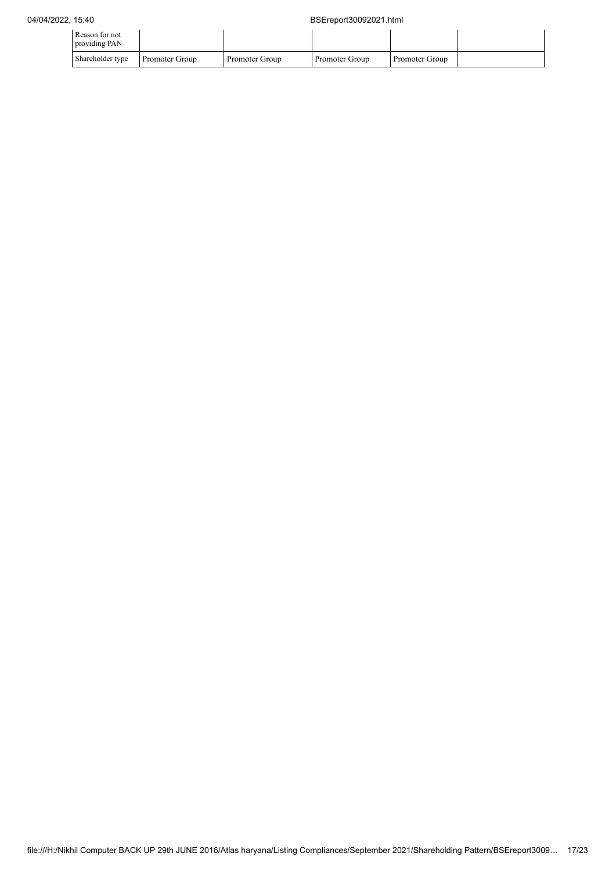| Reason for not<br>providing PAN |                |                |                |                |  |
|---------------------------------|----------------|----------------|----------------|----------------|--|
| Shareholder type                | Promoter Group | Promoter Group | Promoter Group | Promoter Group |  |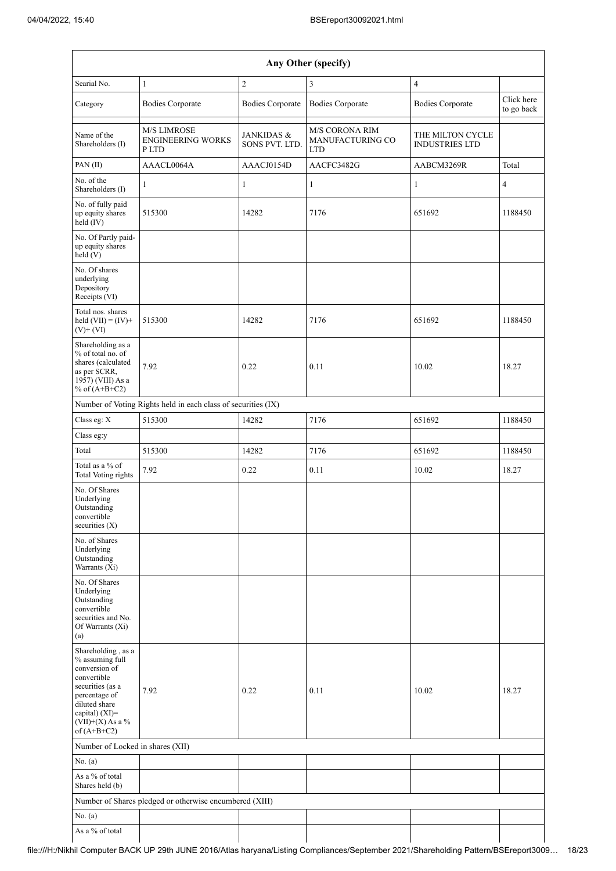$\overline{\phantom{a}}$ 

| Any Other (specify)                                                                                                                                                                |                                                               |                                         |                                                  |                                           |                          |  |  |  |  |
|------------------------------------------------------------------------------------------------------------------------------------------------------------------------------------|---------------------------------------------------------------|-----------------------------------------|--------------------------------------------------|-------------------------------------------|--------------------------|--|--|--|--|
| Searial No.                                                                                                                                                                        | $\mathbf{1}$                                                  | $\overline{c}$                          | $\overline{3}$                                   | $\overline{4}$                            |                          |  |  |  |  |
| Category                                                                                                                                                                           | <b>Bodies Corporate</b>                                       | <b>Bodies Corporate</b>                 | <b>Bodies Corporate</b>                          | <b>Bodies Corporate</b>                   | Click here<br>to go back |  |  |  |  |
| Name of the<br>Shareholders (I)                                                                                                                                                    | <b>M/S LIMROSE</b><br><b>ENGINEERING WORKS</b><br>P LTD       | <b>JANKIDAS &amp;</b><br>SONS PVT. LTD. | M/S CORONA RIM<br>MANUFACTURING CO<br><b>LTD</b> | THE MILTON CYCLE<br><b>INDUSTRIES LTD</b> |                          |  |  |  |  |
| PAN(II)                                                                                                                                                                            | AAACL0064A                                                    | AAACJ0154D                              | AACFC3482G                                       | AABCM3269R                                | Total                    |  |  |  |  |
| No. of the<br>Shareholders (I)                                                                                                                                                     | 1                                                             | 1                                       | $\mathbf{1}$                                     | 1                                         | $\overline{4}$           |  |  |  |  |
| No. of fully paid<br>up equity shares<br>held $(IV)$                                                                                                                               | 515300                                                        | 14282                                   | 7176                                             | 651692                                    | 1188450                  |  |  |  |  |
| No. Of Partly paid-<br>up equity shares<br>held(V)                                                                                                                                 |                                                               |                                         |                                                  |                                           |                          |  |  |  |  |
| No. Of shares<br>underlying<br>Depository<br>Receipts (VI)                                                                                                                         |                                                               |                                         |                                                  |                                           |                          |  |  |  |  |
| Total nos. shares<br>held $(VII) = (IV) +$<br>$(V)$ + $(VI)$                                                                                                                       | 515300                                                        | 14282                                   | 7176                                             | 651692                                    | 1188450                  |  |  |  |  |
| Shareholding as a<br>% of total no. of<br>shares (calculated<br>as per SCRR,<br>1957) (VIII) As a<br>% of $(A+B+C2)$                                                               | 7.92                                                          | 0.22                                    | 0.11                                             | 10.02                                     | 18.27                    |  |  |  |  |
|                                                                                                                                                                                    | Number of Voting Rights held in each class of securities (IX) |                                         |                                                  |                                           |                          |  |  |  |  |
| Class eg: X                                                                                                                                                                        | 515300                                                        | 14282                                   | 7176                                             | 651692                                    | 1188450                  |  |  |  |  |
| Class eg:y                                                                                                                                                                         |                                                               |                                         |                                                  |                                           |                          |  |  |  |  |
| Total                                                                                                                                                                              | 515300                                                        | 14282                                   | 7176                                             | 651692                                    | 1188450                  |  |  |  |  |
| Total as a % of<br><b>Total Voting rights</b>                                                                                                                                      | 7.92                                                          | 0.22                                    | 0.11                                             | 10.02                                     | 18.27                    |  |  |  |  |
| No. Of Shares<br>Underlying<br>Outstanding<br>convertible<br>securities $(X)$                                                                                                      |                                                               |                                         |                                                  |                                           |                          |  |  |  |  |
| No. of Shares<br>Underlying<br>Outstanding<br>Warrants (Xi)                                                                                                                        |                                                               |                                         |                                                  |                                           |                          |  |  |  |  |
| No. Of Shares<br>Underlying<br>Outstanding<br>convertible<br>securities and No.<br>Of Warrants (Xi)<br>(a)                                                                         |                                                               |                                         |                                                  |                                           |                          |  |  |  |  |
| Shareholding, as a<br>% assuming full<br>conversion of<br>convertible<br>securities (as a<br>percentage of<br>diluted share<br>capital) (XI)=<br>(VII)+(X) As a %<br>of $(A+B+C2)$ | 7.92                                                          | 0.22                                    | 0.11                                             | 10.02                                     | 18.27                    |  |  |  |  |
| Number of Locked in shares (XII)                                                                                                                                                   |                                                               |                                         |                                                  |                                           |                          |  |  |  |  |
| No. (a)                                                                                                                                                                            |                                                               |                                         |                                                  |                                           |                          |  |  |  |  |
| As a % of total<br>Shares held (b)                                                                                                                                                 |                                                               |                                         |                                                  |                                           |                          |  |  |  |  |
|                                                                                                                                                                                    | Number of Shares pledged or otherwise encumbered (XIII)       |                                         |                                                  |                                           |                          |  |  |  |  |
| No. (a)                                                                                                                                                                            |                                                               |                                         |                                                  |                                           |                          |  |  |  |  |
| As a $\%$ of total                                                                                                                                                                 |                                                               |                                         |                                                  |                                           |                          |  |  |  |  |

 $\mathbf{I}$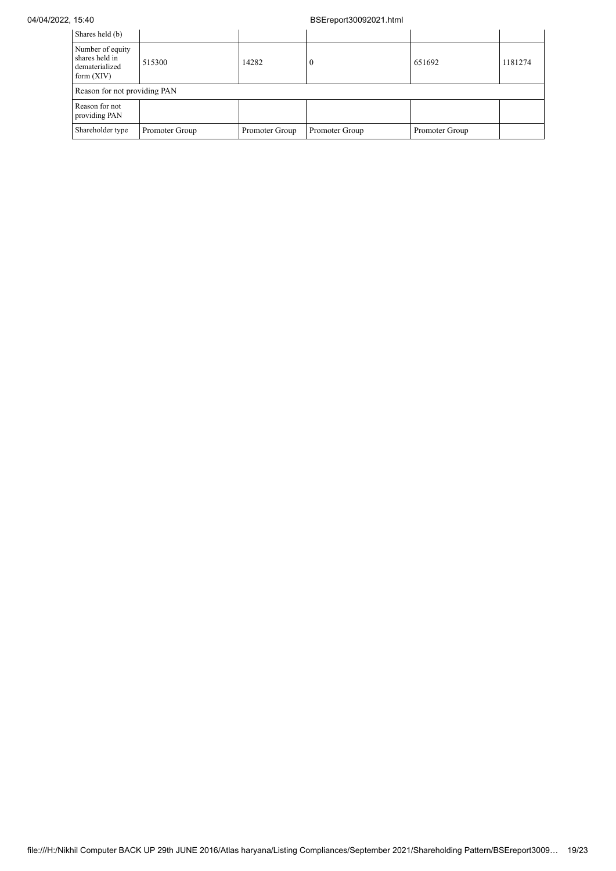## 04/04/2022, 15:40 BSEreport30092021.html

| Shares held (b)                                                      |                |                |                |                |         |  |  |  |
|----------------------------------------------------------------------|----------------|----------------|----------------|----------------|---------|--|--|--|
| Number of equity<br>shares held in<br>dematerialized<br>form $(XIV)$ | 515300         | 14282          |                | 651692         | 1181274 |  |  |  |
| Reason for not providing PAN                                         |                |                |                |                |         |  |  |  |
| Reason for not<br>providing PAN                                      |                |                |                |                |         |  |  |  |
| Shareholder type                                                     | Promoter Group | Promoter Group | Promoter Group | Promoter Group |         |  |  |  |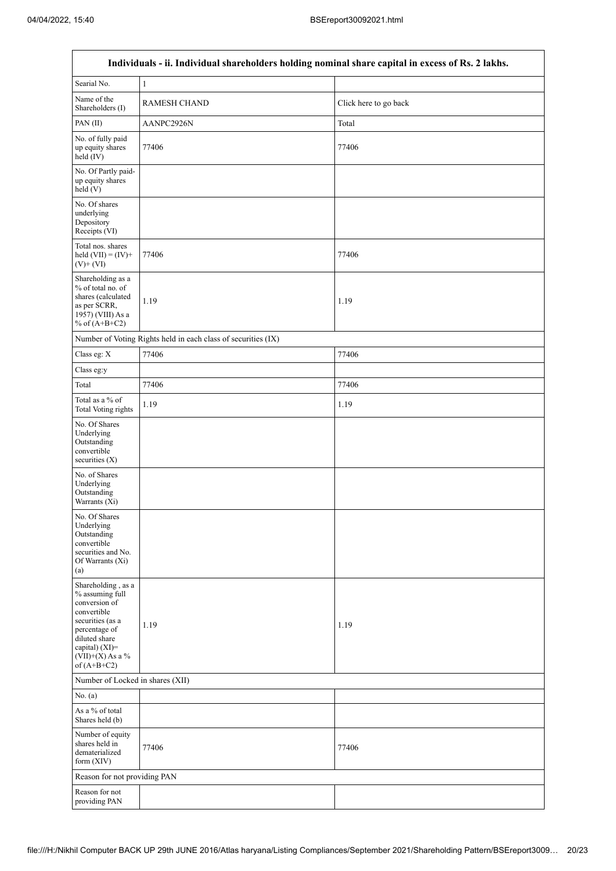$\mathsf{r}$ 

 $\overline{\phantom{a}}$ 

|                                                                                                                                                                                    | Individuals - ii. Individual shareholders holding nominal share capital in excess of Rs. 2 lakhs. |                       |
|------------------------------------------------------------------------------------------------------------------------------------------------------------------------------------|---------------------------------------------------------------------------------------------------|-----------------------|
| Searial No.                                                                                                                                                                        | $\mathbf{1}$                                                                                      |                       |
| Name of the<br>Shareholders (I)                                                                                                                                                    | <b>RAMESH CHAND</b>                                                                               | Click here to go back |
| PAN(II)                                                                                                                                                                            | AANPC2926N                                                                                        | Total                 |
| No. of fully paid<br>up equity shares<br>held (IV)                                                                                                                                 | 77406                                                                                             | 77406                 |
| No. Of Partly paid-<br>up equity shares<br>held(V)                                                                                                                                 |                                                                                                   |                       |
| No. Of shares<br>underlying<br>Depository<br>Receipts (VI)                                                                                                                         |                                                                                                   |                       |
| Total nos. shares<br>held $(VII) = (IV) +$<br>$(V)+(VI)$                                                                                                                           | 77406                                                                                             | 77406                 |
| Shareholding as a<br>% of total no. of<br>shares (calculated<br>as per SCRR,<br>1957) (VIII) As a<br>% of $(A+B+C2)$                                                               | 1.19                                                                                              | 1.19                  |
|                                                                                                                                                                                    | Number of Voting Rights held in each class of securities (IX)                                     |                       |
| Class eg: X                                                                                                                                                                        | 77406                                                                                             | 77406                 |
| Class eg:y                                                                                                                                                                         |                                                                                                   |                       |
| Total                                                                                                                                                                              | 77406                                                                                             | 77406                 |
| Total as a % of<br><b>Total Voting rights</b>                                                                                                                                      | 1.19                                                                                              | 1.19                  |
| No. Of Shares<br>Underlying<br>Outstanding<br>convertible<br>securities $(X)$                                                                                                      |                                                                                                   |                       |
| No. of Shares<br>Underlying<br>Outstanding<br>Warrants (Xi)                                                                                                                        |                                                                                                   |                       |
| No. Of Shares<br>Underlying<br>Outstanding<br>convertible<br>securities and No.<br>Of Warrants (Xi)<br>(a)                                                                         |                                                                                                   |                       |
| Shareholding, as a<br>% assuming full<br>conversion of<br>convertible<br>securities (as a<br>percentage of<br>diluted share<br>capital) (XI)=<br>(VII)+(X) As a %<br>of $(A+B+C2)$ | 1.19                                                                                              | 1.19                  |
| Number of Locked in shares (XII)                                                                                                                                                   |                                                                                                   |                       |
| No. (a)                                                                                                                                                                            |                                                                                                   |                       |
| As a % of total<br>Shares held (b)                                                                                                                                                 |                                                                                                   |                       |
| Number of equity<br>shares held in<br>dematerialized<br>form (XIV)                                                                                                                 | 77406                                                                                             | 77406                 |
| Reason for not providing PAN                                                                                                                                                       |                                                                                                   |                       |
| Reason for not<br>providing PAN                                                                                                                                                    |                                                                                                   |                       |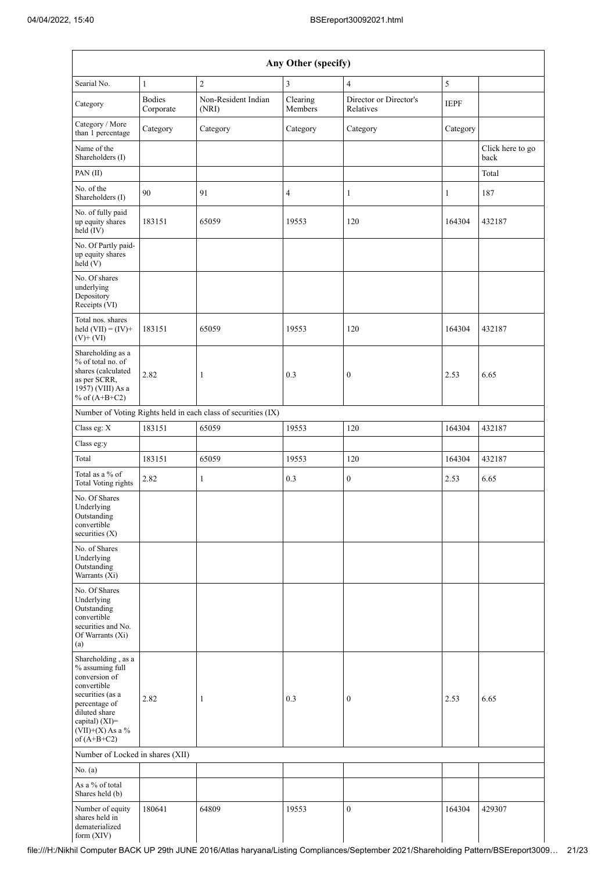| Any Other (specify)                                                                                                                                                                  |                            |                                                               |                     |                                     |             |                          |  |  |
|--------------------------------------------------------------------------------------------------------------------------------------------------------------------------------------|----------------------------|---------------------------------------------------------------|---------------------|-------------------------------------|-------------|--------------------------|--|--|
| Searial No.                                                                                                                                                                          | $\mathbf{1}$               | $\overline{2}$                                                | $\overline{3}$      | $\overline{4}$                      | 5           |                          |  |  |
| Category                                                                                                                                                                             | <b>Bodies</b><br>Corporate | Non-Resident Indian<br>(NRI)                                  | Clearing<br>Members | Director or Director's<br>Relatives | <b>IEPF</b> |                          |  |  |
| Category / More<br>than 1 percentage                                                                                                                                                 | Category                   | Category                                                      | Category            | Category                            | Category    |                          |  |  |
| Name of the<br>Shareholders (I)                                                                                                                                                      |                            |                                                               |                     |                                     |             | Click here to go<br>back |  |  |
| PAN(II)                                                                                                                                                                              |                            |                                                               |                     |                                     |             | Total                    |  |  |
| No. of the<br>Shareholders (I)                                                                                                                                                       | 90                         | 91                                                            | 4                   | 1                                   | 1           | 187                      |  |  |
| No. of fully paid<br>up equity shares<br>held (IV)                                                                                                                                   | 183151                     | 65059                                                         | 19553               | 120                                 | 164304      | 432187                   |  |  |
| No. Of Partly paid-<br>up equity shares<br>held(V)                                                                                                                                   |                            |                                                               |                     |                                     |             |                          |  |  |
| No. Of shares<br>underlying<br>Depository<br>Receipts (VI)                                                                                                                           |                            |                                                               |                     |                                     |             |                          |  |  |
| Total nos. shares<br>held $(VII) = (IV) +$<br>$(V)$ + $(VI)$                                                                                                                         | 183151                     | 65059                                                         | 19553               | 120                                 | 164304      | 432187                   |  |  |
| Shareholding as a<br>% of total no. of<br>shares (calculated<br>as per SCRR,<br>1957) (VIII) As a<br>% of $(A+B+C2)$                                                                 | 2.82                       | 1                                                             | 0.3                 | $\boldsymbol{0}$                    | 2.53        | 6.65                     |  |  |
|                                                                                                                                                                                      |                            | Number of Voting Rights held in each class of securities (IX) |                     |                                     |             |                          |  |  |
| Class eg: X                                                                                                                                                                          | 183151                     | 65059                                                         | 19553               | 120                                 | 164304      | 432187                   |  |  |
| Class eg:y                                                                                                                                                                           |                            |                                                               |                     |                                     |             |                          |  |  |
| Total                                                                                                                                                                                | 183151                     | 65059                                                         | 19553               | 120                                 | 164304      | 432187                   |  |  |
| Total as a % of<br><b>Total Voting rights</b>                                                                                                                                        | 2.82                       | $\mathbf{1}$                                                  | 0.3                 | $\boldsymbol{0}$                    | 2.53        | 6.65                     |  |  |
| No. Of Shares<br>Underlying<br>Outstanding<br>convertible<br>securities (X)                                                                                                          |                            |                                                               |                     |                                     |             |                          |  |  |
| No. of Shares<br>Underlying<br>Outstanding<br>Warrants (Xi)                                                                                                                          |                            |                                                               |                     |                                     |             |                          |  |  |
| No. Of Shares<br>Underlying<br>Outstanding<br>convertible<br>securities and No.<br>Of Warrants (Xi)<br>(a)                                                                           |                            |                                                               |                     |                                     |             |                          |  |  |
| Shareholding, as a<br>% assuming full<br>conversion of<br>convertible<br>securities (as a<br>percentage of<br>diluted share<br>capital) (XI)=<br>$(VII)+(X)$ As a %<br>of $(A+B+C2)$ | 2.82                       | 1                                                             | 0.3                 | $\boldsymbol{0}$                    | 2.53        | 6.65                     |  |  |
| Number of Locked in shares (XII)                                                                                                                                                     |                            |                                                               |                     |                                     |             |                          |  |  |
| No. (a)                                                                                                                                                                              |                            |                                                               |                     |                                     |             |                          |  |  |
| As a % of total<br>Shares held (b)                                                                                                                                                   |                            |                                                               |                     |                                     |             |                          |  |  |
| Number of equity<br>shares held in<br>dematerialized<br>form (XIV)                                                                                                                   | 180641                     | 64809                                                         | 19553               | $\boldsymbol{0}$                    | 164304      | 429307                   |  |  |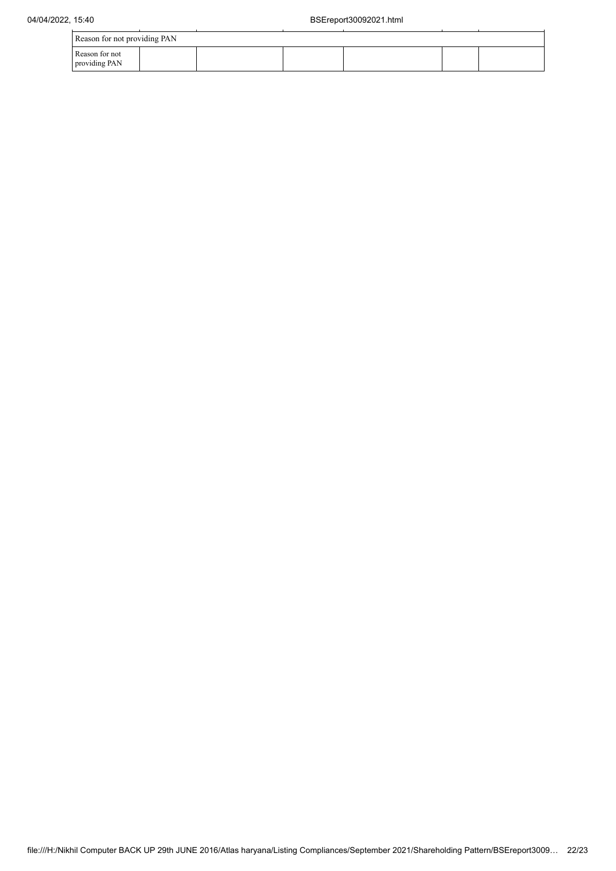| Reason for not providing PAN    |  |  |  |  |  |  |  |
|---------------------------------|--|--|--|--|--|--|--|
| Reason for not<br>providing PAN |  |  |  |  |  |  |  |